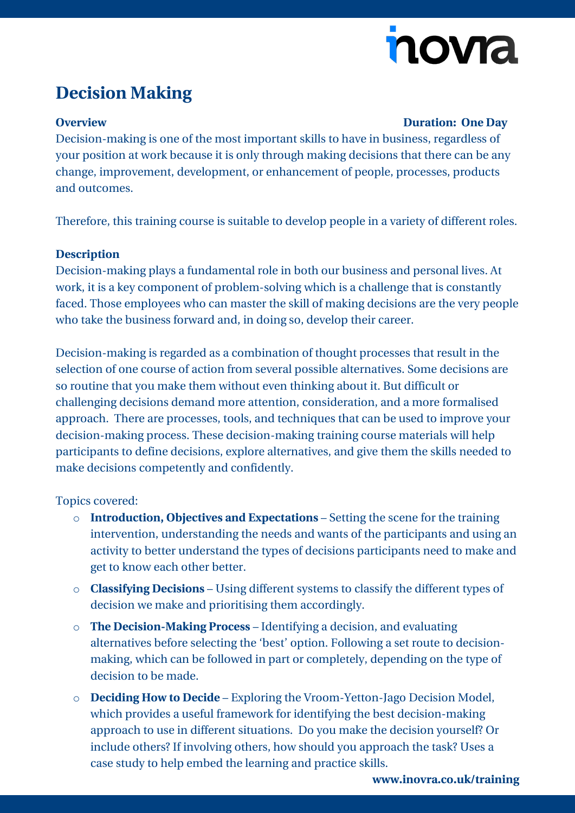# novra

## **Decision Making**

### **Overview Duration: One Day**

Decision-making is one of the most important skills to have in business, regardless of your position at work because it is only through making decisions that there can be any change, improvement, development, or enhancement of people, processes, products and outcomes.

Therefore, this training course is suitable to develop people in a variety of different roles.

### **Description**

Decision-making plays a fundamental role in both our business and personal lives. At work, it is a key component of problem-solving which is a challenge that is constantly faced. Those employees who can master the skill of making decisions are the very people who take the business forward and, in doing so, develop their career.

Decision-making is regarded as a combination of thought processes that result in the selection of one course of action from several possible alternatives. Some decisions are so routine that you make them without even thinking about it. But difficult or challenging decisions demand more attention, consideration, and a more formalised approach. There are processes, tools, and techniques that can be used to improve your decision-making process. These decision-making training course materials will help participants to define decisions, explore alternatives, and give them the skills needed to make decisions competently and confidently.

Topics covered:

- o **Introduction, Objectives and Expectations** Setting the scene for the training intervention, understanding the needs and wants of the participants and using an activity to better understand the types of decisions participants need to make and get to know each other better.
- o **Classifying Decisions** Using different systems to classify the different types of decision we make and prioritising them accordingly.
- o **The Decision-Making Process** Identifying a decision, and evaluating alternatives before selecting the 'best' option. Following a set route to decisionmaking, which can be followed in part or completely, depending on the type of decision to be made.
- o **Deciding How to Decide** Exploring the Vroom-Yetton-Jago Decision Model, which provides a useful framework for identifying the best decision-making approach to use in different situations. Do you make the decision yourself? Or include others? If involving others, how should you approach the task? Uses a case study to help embed the learning and practice skills.

**[www.inovra.co.uk/training](http://www.inovra.co.uk/training)**